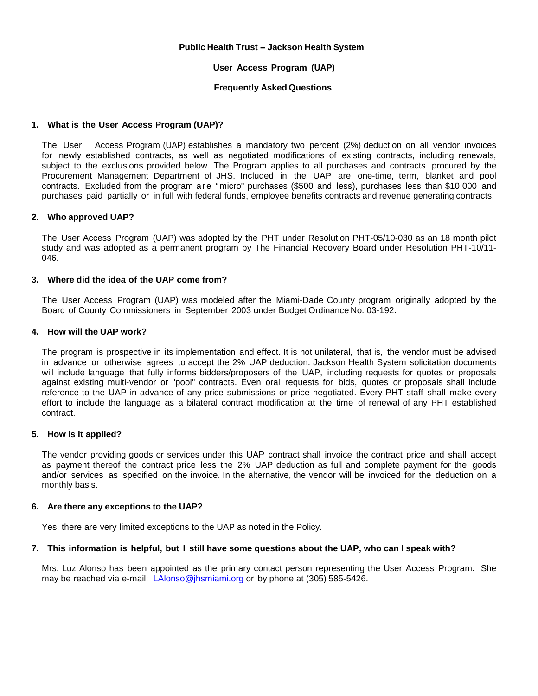## **Public Health Trust -Jackson Health System**

## **User Access Program (UAP)**

## **Frequently Asked Questions**

## **1. What is the User Access Program (UAP)?**

The User Access Program (UAP) establishes a mandatory two percent (2%) deduction on all vendor invoices for newly established contracts, as well as negotiated modifications of existing contracts, including renewals, subject to the exclusions provided below. The Program applies to all purchases and contracts procured by the Procurement Management Department of JHS. Included in the UAP are one-time, term, blanket and pool contracts. Excluded from the program are "micro" purchases (\$500 and less), purchases less than \$10,000 and purchases paid partially or in full with federal funds, employee benefits contracts and revenue generating contracts.

## **2. Who approved UAP?**

The User Access Program (UAP) was adopted by the PHT under Resolution PHT-05/10-030 as an 18 month pilot study and was adopted as a permanent program by The Financial Recovery Board under Resolution PHT-10/11- 046.

## **3. Where did the idea of the UAP come from?**

The User Access Program (UAP) was modeled after the Miami-Dade County program originally adopted by the Board of County Commissioners in September 2003 under Budget Ordinance No. 03-192.

## **4. How will the UAP work?**

The program is prospective in its implementation and effect. It is not unilateral, that is, the vendor must be advised in advance or otherwise agrees to accept the 2% UAP deduction. Jackson Health System solicitation documents will include language that fully informs bidders/proposers of the UAP, including requests for quotes or proposals against existing multi-vendor or "pool" contracts. Even oral requests for bids, quotes or proposals shall include reference to the UAP in advance of any price submissions or price negotiated. Every PHT staff shall make every effort to include the language as a bilateral contract modification at the time of renewal of any PHT established contract.

## **5. How is it applied?**

The vendor providing goods or services under this UAP contract shall invoice the contract price and shall accept as payment thereof the contract price less the 2% UAP deduction as full and complete payment for the goods and/or services as specified on the invoice. In the alternative, the vendor will be invoiced for the deduction on a monthly basis.

### **6. Are there any exceptions to the UAP?**

Yes, there are very limited exceptions to the UAP as noted in the Policy.

## **7. This information is helpful, but I still have some questions about the UAP, who can I speak with?**

Mrs. Luz Alonso has been appointed as the primary contact person representing the User Access Program. She may be reached via e-mail: [LAlonso@jhsmiami.org](mailto:LAlonso@jhsmiami.org) or by phone at (305) 585-5426.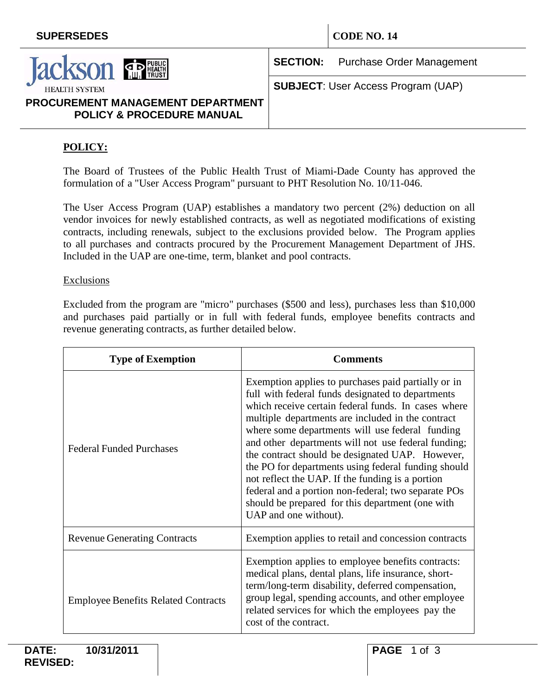

**SECTION:** Purchase Order Management

**SUBJECT**: User Access Program (UAP)

# **PROCUREMENT MANAGEMENT DEPARTMENT POLICY & PROCEDURE MANUAL**

# **POLICY:**

The Board of Trustees of the Public Health Trust of Miami-Dade County has approved the formulation of a "User Access Program" pursuant to PHT Resolution No. 10/11-046.

The User Access Program (UAP) establishes a mandatory two percent (2%) deduction on all vendor invoices for newly established contracts, as well as negotiated modifications of existing contracts, including renewals, subject to the exclusions provided below. The Program applies to all purchases and contracts procured by the Procurement Management Department of JHS. Included in the UAP are one-time, term, blanket and pool contracts.

## Exclusions

Excluded from the program are "micro" purchases (\$500 and less), purchases less than \$10,000 and purchases paid partially or in full with federal funds, employee benefits contracts and revenue generating contracts, as further detailed below.

| <b>Type of Exemption</b>                   | <b>Comments</b>                                                                                                                                                                                                                                                                                                                                                                                                                                                                                                                                                                                                                  |
|--------------------------------------------|----------------------------------------------------------------------------------------------------------------------------------------------------------------------------------------------------------------------------------------------------------------------------------------------------------------------------------------------------------------------------------------------------------------------------------------------------------------------------------------------------------------------------------------------------------------------------------------------------------------------------------|
| <b>Federal Funded Purchases</b>            | Exemption applies to purchases paid partially or in<br>full with federal funds designated to departments<br>which receive certain federal funds. In cases where<br>multiple departments are included in the contract<br>where some departments will use federal funding<br>and other departments will not use federal funding;<br>the contract should be designated UAP. However,<br>the PO for departments using federal funding should<br>not reflect the UAP. If the funding is a portion<br>federal and a portion non-federal; two separate POs<br>should be prepared for this department (one with<br>UAP and one without). |
| <b>Revenue Generating Contracts</b>        | Exemption applies to retail and concession contracts                                                                                                                                                                                                                                                                                                                                                                                                                                                                                                                                                                             |
| <b>Employee Benefits Related Contracts</b> | Exemption applies to employee benefits contracts:<br>medical plans, dental plans, life insurance, short-<br>term/long-term disability, deferred compensation,<br>group legal, spending accounts, and other employee<br>related services for which the employees pay the<br>cost of the contract.                                                                                                                                                                                                                                                                                                                                 |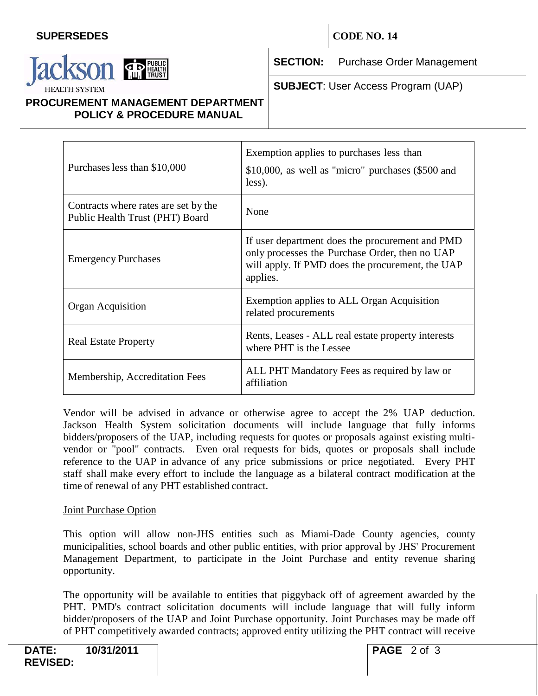

**SECTION:** Purchase Order Management

**SUBJECT**: User Access Program (UAP)

## **PROCUREMENT MANAGEMENT DEPARTMENT POLICY & PROCEDURE MANUAL**

| Purchases less than \$10,000                                            | Exemption applies to purchases less than<br>$$10,000$ , as well as "micro" purchases $$500$ and<br>less).                                                         |
|-------------------------------------------------------------------------|-------------------------------------------------------------------------------------------------------------------------------------------------------------------|
| Contracts where rates are set by the<br>Public Health Trust (PHT) Board | None                                                                                                                                                              |
| <b>Emergency Purchases</b>                                              | If user department does the procurement and PMD<br>only processes the Purchase Order, then no UAP<br>will apply. If PMD does the procurement, the UAP<br>applies. |
| <b>Organ Acquisition</b>                                                | Exemption applies to ALL Organ Acquisition<br>related procurements                                                                                                |
| <b>Real Estate Property</b>                                             | Rents, Leases - ALL real estate property interests<br>where PHT is the Lessee                                                                                     |
| Membership, Accreditation Fees                                          | ALL PHT Mandatory Fees as required by law or<br>affiliation                                                                                                       |

Vendor will be advised in advance or otherwise agree to accept the 2% UAP deduction. Jackson Health System solicitation documents will include language that fully informs bidders/proposers of the UAP, including requests for quotes or proposals against existing multivendor or "pool" contracts. Even oral requests for bids, quotes or proposals shall include reference to the UAP in advance of any price submissions or price negotiated. Every PHT staff shall make every effort to include the language as a bilateral contract modification at the time of renewal of any PHT established contract.

## Joint Purchase Option

This option will allow non-JHS entities such as Miami-Dade County agencies, county municipalities, school boards and other public entities, with prior approval by JHS' Procurement Management Department, to participate in the Joint Purchase and entity revenue sharing opportunity.

The opportunity will be available to entities that piggyback off of agreement awarded by the PHT. PMD's contract solicitation documents will include language that will fully inform bidder/proposers of the UAP and Joint Purchase opportunity. Joint Purchases may be made off of PHT competitively awarded contracts; approved entity utilizing the PHT contract will receive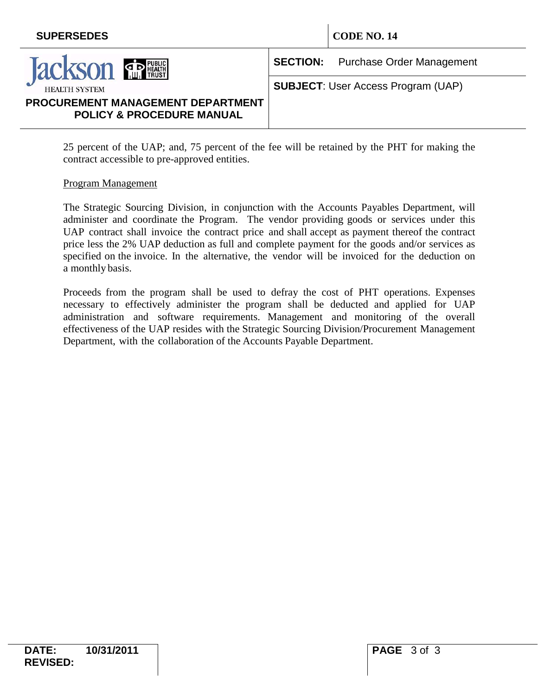

**SECTION:** Purchase Order Management

**SUBJECT**: User Access Program (UAP)

# **PROCUREMENT MANAGEMENT DEPARTMENT POLICY & PROCEDURE MANUAL**

| 25 percent of the UAP; and, 75 percent of the fee will be retained by the PHT for making the |  |  |
|----------------------------------------------------------------------------------------------|--|--|
| contract accessible to pre-approved entities.                                                |  |  |

## Program Management

The Strategic Sourcing Division, in conjunction with the Accounts Payables Department, will administer and coordinate the Program. The vendor providing goods or services under this UAP contract shall invoice the contract price and shall accept as payment thereof the contract price less the 2% UAP deduction as full and complete payment for the goods and/or services as specified on the invoice. In the alternative, the vendor will be invoiced for the deduction on a monthly basis.

Proceeds from the program shall be used to defray the cost of PHT operations. Expenses necessary to effectively administer the program shall be deducted and applied for UAP administration and software requirements. Management and monitoring of the overall effectiveness of the UAP resides with the Strategic Sourcing Division/Procurement Management Department, with the collaboration of the Accounts Payable Department.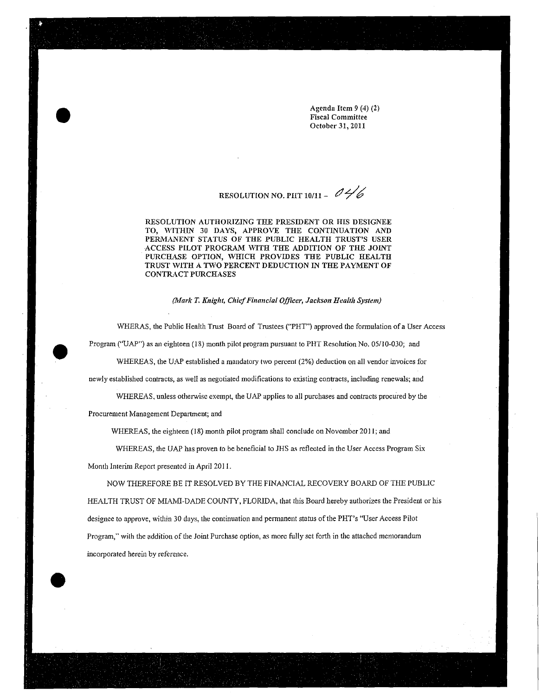Agenda Item 9 (4) (2} Fiscal Committee October 31, 2011

# RESOLUTION NO. PUT 10/11- *(1 Y 6*

RESOLUTION AUTHORIZING THE PRESIDENT OR HIS DESIGNEE TO, WITHIN 30 DAYS, APPROVE THE CONTINUATION AND PERMANENT STATUS OF THE PUBLIC HEALTH TRUST'S USER ACCESS PILOT PROGRAM WITH THE ADDITION OF THE JOINT PURCHASE OPTION, WHICH PROVIDES THE PUBLIC HEALTH TRUST WITH A TWO PERCENT DEDUCTION IN THE PAYMENT OF CONTRACT PURCHASES

*(kfark T. Knight, Chief Financial Officer, Jackson Health System)* 

WHERAS, the Public Health Trust Board of Trustees ("PHT") approved the formulation of a User Access Program ("UAP") as an eighteen (18) month pilot program pursuant to PHT Resolution No. 05/10-030; and WHEREAS, the UAP established a mandatory two percent (2%) deduction on all vendor invoices for newly established contracts, as well as negotiated modifications to existing contracts, including renewals; and WHEREAS, unless otherwise exempt, the UAP applies to all purchases and contracts procured by the

Procurement Management Department; and

WHEREAS, the eighteen (18) month pilot program shall conclude on November 2011; and

WHEREAS, the UAP has proven to be beneficial to JHS as reflected in the User Access Program Six. Month Interim Report presented in April 2011.

NOW THEREFORE BE IT RESOLVED BY THE FINANCIAL RECOVERY BOARD OF THE PUBLIC HEALTH TRUST OF MIAMI-DADE COUNTY, FLORIDA, that this Board hereby authorizes the President or his designee to approve, within 30 days, the continuation and pemmnent status of the PHT's "User Access Pilot Program," with the addition of the Joint Purchase option, as more fully set forth in the attached memorandum incorporated herein by reterence.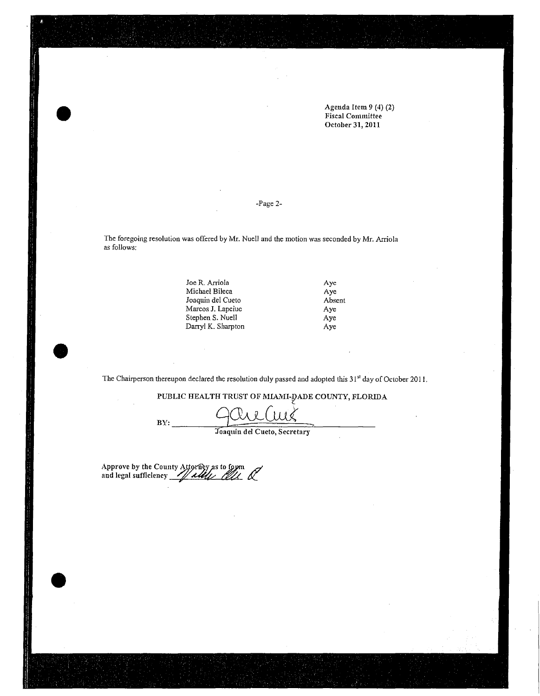Agenda Item *9* (4) (2) Fiscal Committee October 31, 2011

#### -Page 2-

The foregoing resolution was offered by Mr. Nuell and the motion was seconded by Mr. Arriola as follows:

> Joe R. Arriola Michael Bileca Joaquin del Cueto Marcos J. Lapciuc Stephen S. Nuell Darryl K. Sharpton

> > $\bar{z}$

Aye Aye Absent Aye Aye Aye

The Chairperson thereupon declared the resolution duly passed and adopted this 31<sup>st</sup> day of October 2011.

PUBLIC HEALTH TRUST OF MIAMI-DADE COUNTY, FLORIDA

BY: -------o=9......L::~=· :::::::=:::::Uw::::::=::::::<=:=\_.., -- .Joaquin del Cueto, Secretary

Approve by the. County ~~s ~ <sup>4</sup> and legal sufficiency -~#-~--'~~~:::..,\_..\_azt\_'4-""- *6<.\_*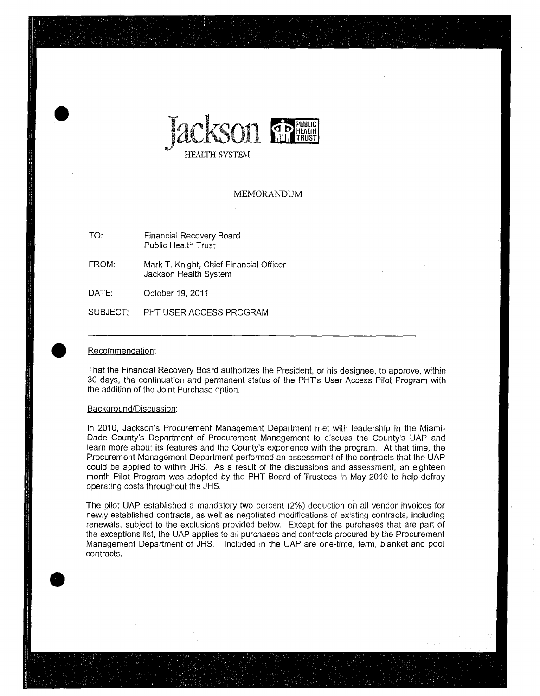

#### MEMORANDUM

- TO: Financial Recovery Board Public Health Trust
- FROM: Mark T. Knight, Chief Financial Officer Jackson Health System
- DATE: October 19, 2011
- SUBJECT: PHT USER ACCESS PROGRAM

#### Recommendation:

That the Financial Recovery Board authorizes the President, or his designee, to approve, within 30 days, the continuation and permanent status of the PHT's User Access Pilot Program with the addition of the Joint Purchase option.

#### Background/Discussion:

In 2010, Jackson's Procurement Management Department met with leadership in the Miami-Dade County's Department of Procurement Management to discuss the County's UAP and learn more about its features and the County's experience with the program. At that time, the Procurement Management Department performed an assessment of the contracts that the UAP could be applied to within JHS. As a result of the discussions and assessment, an eighteen month Pilot Program was adopted by the PHT Board of Trustees in May 2010 to help defray operating costs throughout the JHS.

The pilot UAP established a mandatory two percent (2%) deduction on all vendor invoices for newly established contracts, as well as negotiated modifications of existing contracts, including renewals, subject to the exclusions provided below. Except for the purchases that are part of the exceptions list, the UAP applies to all purchases and contracts procured by the Procurement Management Department of JHS. Included in the UAP are one-time, term, blanket and pool contracts.